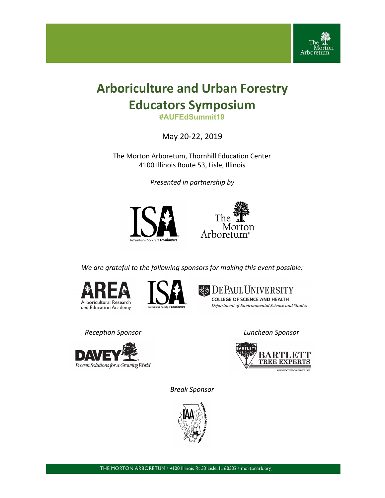

# **Arboriculture and Urban Forestry Educators Symposium**

**#AUFEdSummit19**

May 20-22, 2019

The Morton Arboretum, Thornhill Education Center 4100 Illinois Route 53, Lisle, Illinois

*Presented in partnership by*





*We are grateful to the following sponsors for making this event possible:*







*Reception Sponsor Luncheon Sponsor*





*Break Sponsor*

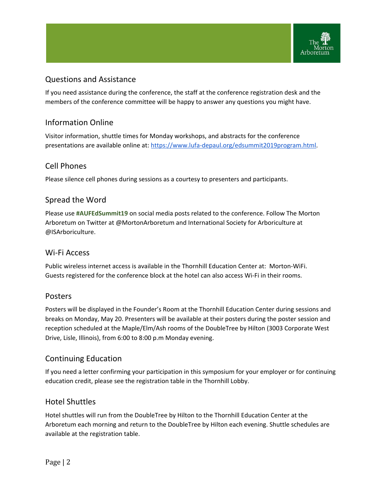

# Questions and Assistance

If you need assistance during the conference, the staff at the conference registration desk and the members of the conference committee will be happy to answer any questions you might have.

# Information Online

Visitor information, shuttle times for Monday workshops, and abstracts for the conference presentations are available online at: <https://www.lufa-depaul.org/edsummit2019program.html>.

# Cell Phones

Please silence cell phones during sessions as a courtesy to presenters and participants.

# Spread the Word

Please use **#AUFEdSummit19** on social media posts related to the conference. Follow The Morton Arboretum on Twitter at @MortonArboretum and International Society for Arboriculture at @ISArboriculture.

### Wi-Fi Access

Public wireless internet access is available in the Thornhill Education Center at: Morton-WiFi. Guests registered for the conference block at the hotel can also access Wi-Fi in their rooms.

# Posters

Posters will be displayed in the Founder's Room at the Thornhill Education Center during sessions and breaks on Monday, May 20. Presenters will be available at their posters during the poster session and reception scheduled at the Maple/Elm/Ash rooms of the DoubleTree by Hilton (3003 Corporate West Drive, Lisle, Illinois), from 6:00 to 8:00 p.m Monday evening.

# Continuing Education

If you need a letter confirming your participation in this symposium for your employer or for continuing education credit, please see the registration table in the Thornhill Lobby.

# Hotel Shuttles

Hotel shuttles will run from the DoubleTree by Hilton to the Thornhill Education Center at the Arboretum each morning and return to the DoubleTree by Hilton each evening. Shuttle schedules are available at the registration table.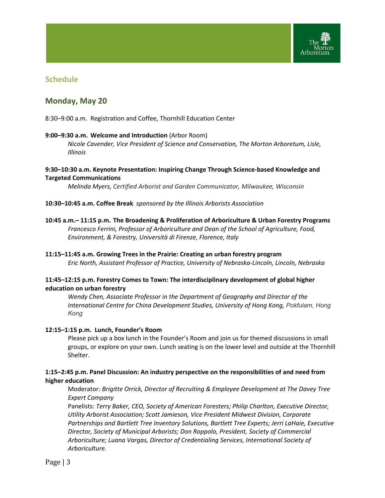

# **Schedule**

# **Monday, May 20**

8:30–9:00 a.m. Registration and Coffee, Thornhill Education Center

#### **9:00–9:30 a.m. Welcome and Introduction** (Arbor Room)

*Nicole Cavender, Vice President of Science and Conservation, The Morton Arboretum, Lisle, Illinois*

### **9:30–10:30 a.m. Keynote Presentation: Inspiring Change Through Science-based Knowledge and Targeted Communications**

*Melinda Myers, Certified Arborist and Garden Communicator, Milwaukee, Wisconsin*

#### **10:30–10:45 a.m. Coffee Break** *sponsored by the Illinois Arborists Association*

**10:45 a.m.– 11:15 p.m. The Broadening & Proliferation of Arboriculture & Urban Forestry Programs** *Francesco Ferrini, Professor of Arboriculture and Dean of the School of Agriculture, Food, Environment, & Forestry, Università di Firenze, Florence, Italy*

**11:15–11:45 a.m. Growing Trees in the Prairie: Creating an urban forestry program** *Eric North, Assistant Professor of Practice, University of Nebraska-Lincoln, Lincoln, Nebraska*

### **11:45–12:15 p.m. Forestry Comes to Town: The interdisciplinary development of global higher education on urban forestry**

*Wendy Chen, Associate Professor in the Department of Geography and Director of the International Centre for China Development Studies, University of Hong Kong, Pokfulam, Hong Kong*

#### **12:15–1:15 p.m. Lunch, Founder's Room**

Please pick up a box lunch in the Founder's Room and join us for themed discussions in small groups, or explore on your own. Lunch seating is on the lower level and outside at the Thornhill Shelter.

### **1:15–2:45 p.m. Panel Discussion: An industry perspective on the responsibilities of and need from higher education**

Moderator: *Brigitte Orrick, Director of Recruiting & Employee Development at The Davey Tree Expert Company*

Panelists: *Terry Baker, CEO, Society of American Foresters; Philip Charlton, Executive Director, Utility Arborist Association; Scott Jamieson, Vice President Midwest Division, Corporate Partnerships and Bartlett Tree Inventory Solutions, Bartlett Tree Experts; Jerri LaHaie, Executive Director, Society of Municipal Arborists; Don Roppolo, President, Society of Commercial Arboriculture; Luana Vargas, Director of Credentialing Services, International Society of Arboriculture.*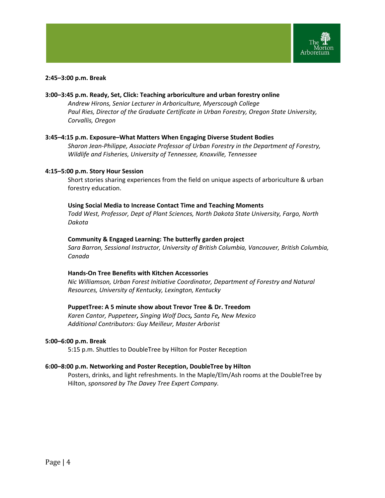

#### **2:45–3:00 p.m. Break**

### **3:00–3:45 p.m. Ready, Set, Click: Teaching arboriculture and urban forestry online** *Andrew Hirons, Senior Lecturer in Arboriculture, Myerscough College Paul Ries, Director of the Graduate Certificate in Urban Forestry, Oregon State University, Corvallis, Oregon*

#### **3:45–4:15 p.m. Exposure–What Matters When Engaging Diverse Student Bodies**

*Sharon Jean-Philippe, Associate Professor of Urban Forestry in the Department of Forestry, Wildlife and Fisheries, University of Tennessee, Knoxville, Tennessee*

#### **4:15–5:00 p.m. Story Hour Session**

Short stories sharing experiences from the field on unique aspects of arboriculture & urban forestry education.

#### **Using Social Media to Increase Contact Time and Teaching Moments**

*Todd West, Professor, Dept of Plant Sciences, North Dakota State University, Fargo, North Dakota*

#### **Community & Engaged Learning: The butterfly garden project**

*Sara Barron, Sessional Instructor, University of British Columbia, Vancouver, British Columbia, Canada*

#### **Hands-On Tree Benefits with Kitchen Accessories**

*Nic Williamson, Urban Forest Initiative Coordinator, Department of Forestry and Natural Resources, University of Kentucky, Lexington, Kentucky*

#### **PuppetTree: A 5 minute show about Trevor Tree & Dr. Treedom**

*Karen Cantor, Puppeteer, Singing Wolf Docs, Santa Fe, New Mexico Additional Contributors: Guy Meilleur, Master Arborist*

#### **5:00–6:00 p.m. Break**

5:15 p.m. Shuttles to DoubleTree by Hilton for Poster Reception

#### **6:00–8:00 p.m. Networking and Poster Reception, DoubleTree by Hilton**

Posters, drinks, and light refreshments. In the Maple/Elm/Ash rooms at the DoubleTree by Hilton, *sponsored by The Davey Tree Expert Company.*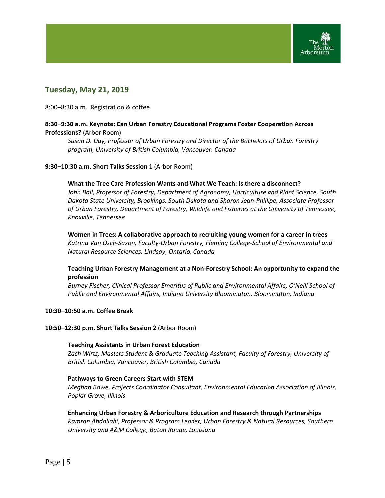

# **Tuesday, May 21, 2019**

8:00–8:30 a.m. Registration & coffee

### **8:30–9:30 a.m. Keynote: Can Urban Forestry Educational Programs Foster Cooperation Across Professions?** (Arbor Room)

*Susan D. Day, Professor of Urban Forestry and Director of the Bachelors of Urban Forestry program, University of British Columbia, Vancouver, Canada*

#### **9:30–10:30 a.m. Short Talks Session 1** (Arbor Room)

#### **What the Tree Care Profession Wants and What We Teach: Is there a disconnect?**

*John Ball, Professor of Forestry, Department of Agronomy, Horticulture and Plant Science, South Dakota State University, Brookings, South Dakota and Sharon Jean-Phillipe, Associate Professor of Urban Forestry, Department of Forestry, Wildlife and Fisheries at the University of Tennessee, Knoxville, Tennessee*

**Women in Trees: A collaborative approach to recruiting young women for a career in trees** *Katrina Van Osch-Saxon, Faculty-Urban Forestry, Fleming College-School of Environmental and Natural Resource Sciences, Lindsay, Ontario, Canada*

### **Teaching Urban Forestry Management at a Non-Forestry School: An opportunity to expand the profession**

*Burney Fischer, Clinical Professor Emeritus of Public and Environmental Affairs, O'Neill School of Public and Environmental Affairs, Indiana University Bloomington, Bloomington, Indiana*

#### **10:30–10:50 a.m. Coffee Break**

#### **10:50–12:30 p.m. Short Talks Session 2** (Arbor Room)

#### **Teaching Assistants in Urban Forest Education**

*Zach Wirtz, Masters Student & Graduate Teaching Assistant, Faculty of Forestry, University of British Columbia, Vancouver, British Columbia, Canada*

#### **Pathways to Green Careers Start with STEM**

*Meghan Bowe, Projects Coordinator Consultant, Environmental Education Association of Illinois, Poplar Grove, Illinois*

### **Enhancing Urban Forestry & Arboriculture Education and Research through Partnerships** *Kamran Abdollahi, Professor & Program Leader, Urban Forestry & Natural Resources, Southern*

*University and A&M College, Baton Rouge, Louisiana*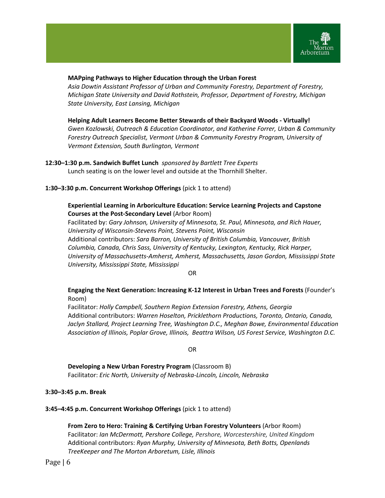

### **MAPping Pathways to Higher Education through the Urban Forest**

*Asia Dowtin Assistant Professor of Urban and Community Forestry, Department of Forestry, Michigan State University and David Rothstein, Professor, Department of Forestry, Michigan State University, East Lansing, Michigan*

**Helping Adult Learners Become Better Stewards of their Backyard Woods - Virtually!** *Gwen Kozlowski, Outreach & Education Coordinator, and Katherine Forrer, Urban & Community Forestry Outreach Specialist, Vermont Urban & Community Forestry Program, University of Vermont Extension, South Burlington, Vermont*

**12:30–1:30 p.m. Sandwich Buffet Lunch** *sponsored by Bartlett Tree Experts* Lunch seating is on the lower level and outside at the Thornhill Shelter.

#### **1:30–3:30 p.m. Concurrent Workshop Offerings** (pick 1 to attend)

### **Experiential Learning in Arboriculture Education: Service Learning Projects and Capstone Courses at the Post-Secondary Level** (Arbor Room)

Facilitated by: *Gary Johnson, University of Minnesota, St. Paul, Minnesota, and Rich Hauer, University of Wisconsin-Stevens Point, Stevens Point, Wisconsin* Additional contributors: *Sara Barron, University of British Columbia, Vancouver, British Columbia, Canada, Chris Sass, University of Kentucky, Lexington, Kentucky, Rick Harper, University of Massachusetts-Amherst, Amherst, Massachusetts, Jason Gordon, Mississippi State University, Mississippi State, Mississippi*

OR

### **Engaging the Next Generation: Increasing K-12 Interest in Urban Trees and Forests** (Founder's Room)

Facilitator: *Holly Campbell, Southern Region Extension Forestry, Athens, Georgia* Additional contributors: *Warren Hoselton, Pricklethorn Productions, Toronto, Ontario, Canada, Jaclyn Stallard, Project Learning Tree, Washington D.C., Meghan Bowe, Environmental Education Association of Illinois, Poplar Grove, Illinois, Beattra Wilson, US Forest Service, Washington D.C.*

OR

**Developing a New Urban Forestry Program** (Classroom B) Facilitator: *Eric North, University of Nebraska-Lincoln, Lincoln, Nebraska*

#### **3:30–3:45 p.m. Break**

#### **3:45–4:45 p.m. Concurrent Workshop Offerings** (pick 1 to attend)

**From Zero to Hero: Training & Certifying Urban Forestry Volunteers** (Arbor Room) Facilitator: *Ian McDermott, Pershore College, Pershore, Worcestershire, United Kingdom* Additional contributors: *Ryan Murphy, University of Minnesota, Beth Botts, Openlands TreeKeeper and The Morton Arboretum, Lisle, Illinois*